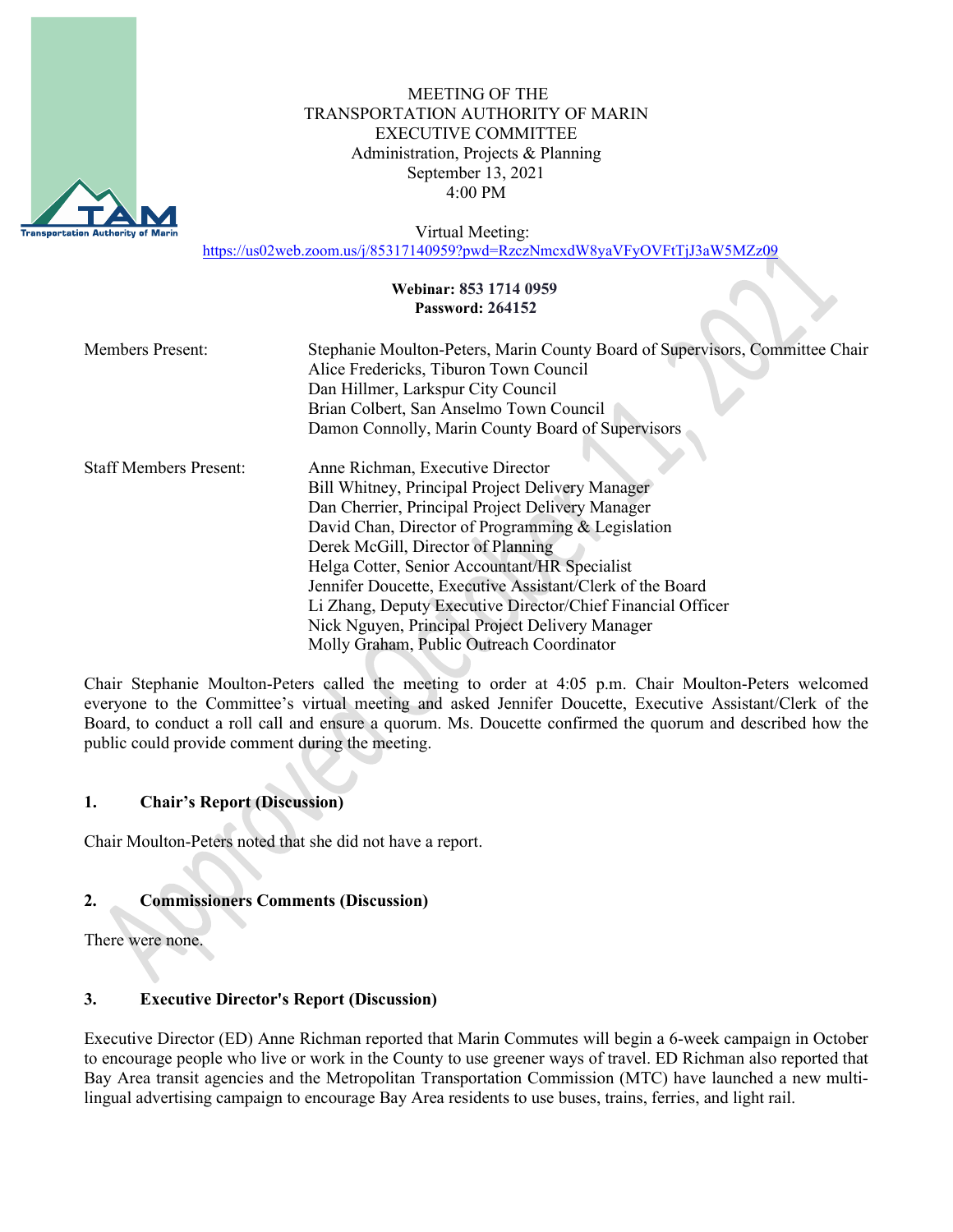

### MEETING OF THE TRANSPORTATION AUTHORITY OF MARIN EXECUTIVE COMMITTEE Administration, Projects & Planning September 13, 2021 4:00 PM

 Virtual Meeting: <https://us02web.zoom.us/j/85317140959?pwd=RzczNmcxdW8yaVFyOVFtTjJ3aW5MZz09>

#### **Webinar: 853 1714 0959 Password: 264152**

| <b>Members Present:</b>       | Stephanie Moulton-Peters, Marin County Board of Supervisors, Committee Chair<br>Alice Fredericks, Tiburon Town Council<br>Dan Hillmer, Larkspur City Council<br>Brian Colbert, San Anselmo Town Council<br>Damon Connolly, Marin County Board of Supervisors                                                                                                                                                                                                                                                     |
|-------------------------------|------------------------------------------------------------------------------------------------------------------------------------------------------------------------------------------------------------------------------------------------------------------------------------------------------------------------------------------------------------------------------------------------------------------------------------------------------------------------------------------------------------------|
| <b>Staff Members Present:</b> | Anne Richman, Executive Director<br>Bill Whitney, Principal Project Delivery Manager<br>Dan Cherrier, Principal Project Delivery Manager<br>David Chan, Director of Programming & Legislation<br>Derek McGill, Director of Planning<br>Helga Cotter, Senior Accountant/HR Specialist<br>Jennifer Doucette, Executive Assistant/Clerk of the Board<br>Li Zhang, Deputy Executive Director/Chief Financial Officer<br>Nick Nguyen, Principal Project Delivery Manager<br>Molly Graham, Public Outreach Coordinator |

Chair Stephanie Moulton-Peters called the meeting to order at 4:05 p.m. Chair Moulton-Peters welcomed everyone to the Committee's virtual meeting and asked Jennifer Doucette, Executive Assistant/Clerk of the Board, to conduct a roll call and ensure a quorum. Ms. Doucette confirmed the quorum and described how the public could provide comment during the meeting.

## **1. Chair's Report (Discussion)**

Chair Moulton-Peters noted that she did not have a report.

### **2. Commissioners Comments (Discussion)**

There were none.

### **3. Executive Director's Report (Discussion)**

Executive Director (ED) Anne Richman reported that Marin Commutes will begin a 6-week campaign in October to encourage people who live or work in the County to use greener ways of travel. ED Richman also reported that Bay Area transit agencies and the Metropolitan Transportation Commission (MTC) have launched a new multilingual advertising campaign to encourage Bay Area residents to use buses, trains, ferries, and light rail.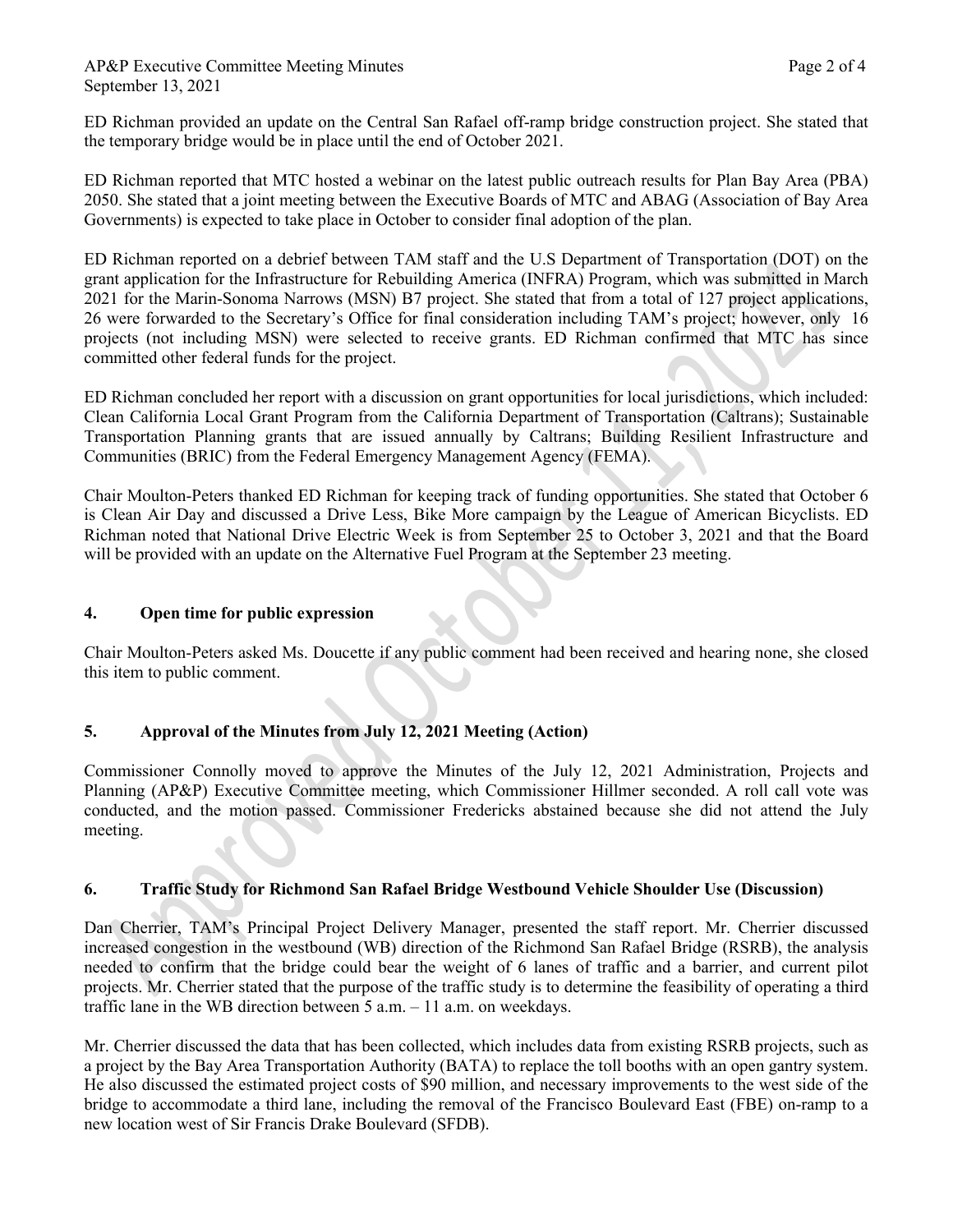AP&P Executive Committee Meeting Minutes **Page 2** of 4 September 13, 2021

ED Richman provided an update on the Central San Rafael off-ramp bridge construction project. She stated that the temporary bridge would be in place until the end of October 2021.

ED Richman reported that MTC hosted a webinar on the latest public outreach results for Plan Bay Area (PBA) 2050. She stated that a joint meeting between the Executive Boards of MTC and ABAG (Association of Bay Area Governments) is expected to take place in October to consider final adoption of the plan.

ED Richman reported on a debrief between TAM staff and the U.S Department of Transportation (DOT) on the grant application for the Infrastructure for Rebuilding America (INFRA) Program, which was submitted in March 2021 for the Marin-Sonoma Narrows (MSN) B7 project. She stated that from a total of 127 project applications, 26 were forwarded to the Secretary's Office for final consideration including TAM's project; however, only 16 projects (not including MSN) were selected to receive grants. ED Richman confirmed that MTC has since committed other federal funds for the project.

ED Richman concluded her report with a discussion on grant opportunities for local jurisdictions, which included: Clean California Local Grant Program from the California Department of Transportation (Caltrans); Sustainable Transportation Planning grants that are issued annually by Caltrans; Building Resilient Infrastructure and Communities (BRIC) from the Federal Emergency Management Agency (FEMA).

Chair Moulton-Peters thanked ED Richman for keeping track of funding opportunities. She stated that October 6 is Clean Air Day and discussed a Drive Less, Bike More campaign by the League of American Bicyclists. ED Richman noted that National Drive Electric Week is from September 25 to October 3, 2021 and that the Board will be provided with an update on the Alternative Fuel Program at the September 23 meeting.

### **4. Open time for public expression**

Chair Moulton-Peters asked Ms. Doucette if any public comment had been received and hearing none, she closed this item to public comment.

# **5. Approval of the Minutes from July 12, 2021 Meeting (Action)**

Commissioner Connolly moved to approve the Minutes of the July 12, 2021 Administration, Projects and Planning (AP&P) Executive Committee meeting, which Commissioner Hillmer seconded. A roll call vote was conducted, and the motion passed. Commissioner Fredericks abstained because she did not attend the July meeting.

## **6. Traffic Study for Richmond San Rafael Bridge Westbound Vehicle Shoulder Use (Discussion)**

Dan Cherrier, TAM's Principal Project Delivery Manager, presented the staff report. Mr. Cherrier discussed increased congestion in the westbound (WB) direction of the Richmond San Rafael Bridge (RSRB), the analysis needed to confirm that the bridge could bear the weight of 6 lanes of traffic and a barrier, and current pilot projects. Mr. Cherrier stated that the purpose of the traffic study is to determine the feasibility of operating a third traffic lane in the WB direction between 5 a.m. – 11 a.m. on weekdays.

Mr. Cherrier discussed the data that has been collected, which includes data from existing RSRB projects, such as a project by the Bay Area Transportation Authority (BATA) to replace the toll booths with an open gantry system. He also discussed the estimated project costs of \$90 million, and necessary improvements to the west side of the bridge to accommodate a third lane, including the removal of the Francisco Boulevard East (FBE) on-ramp to a new location west of Sir Francis Drake Boulevard (SFDB).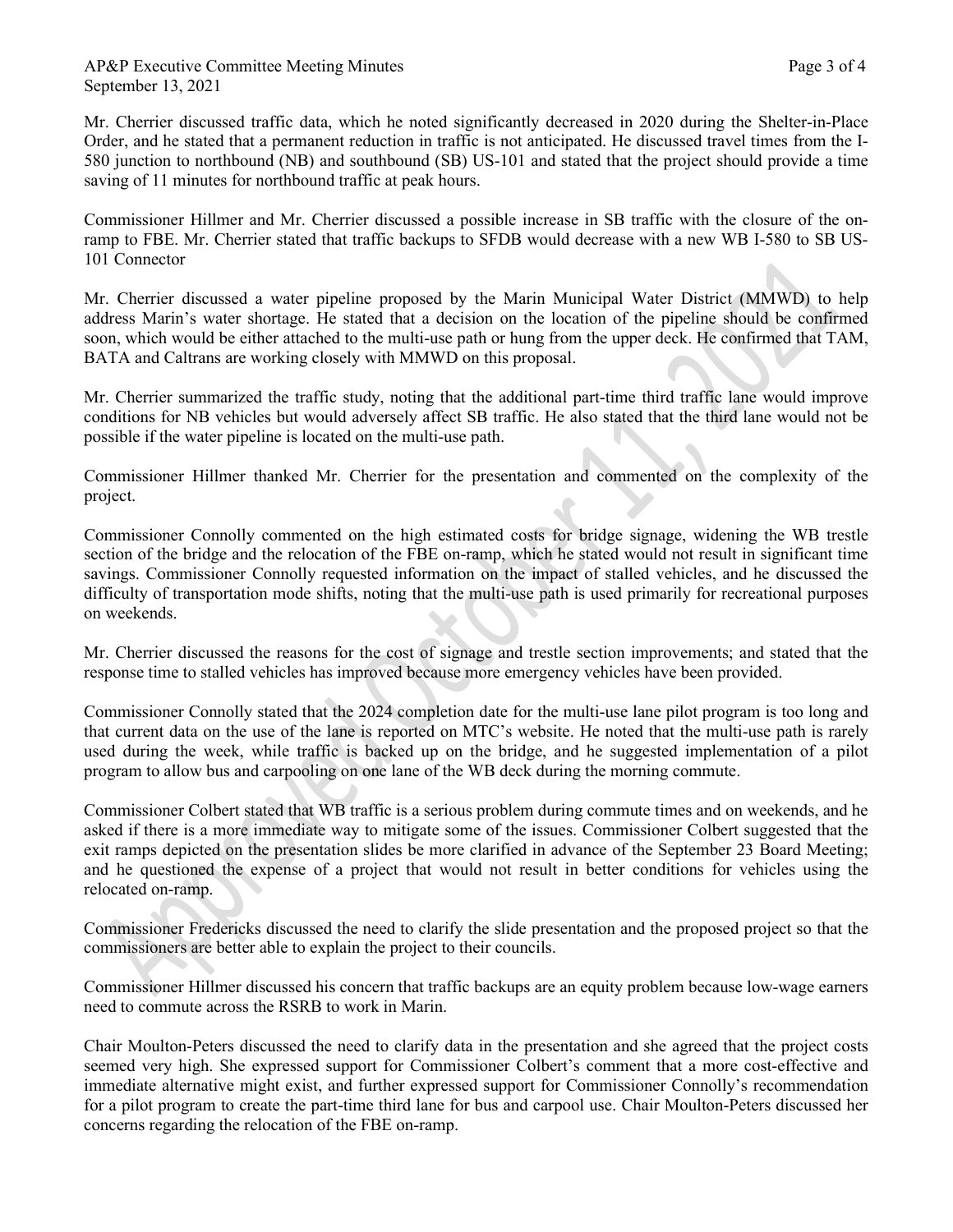Mr. Cherrier discussed traffic data, which he noted significantly decreased in 2020 during the Shelter-in-Place Order, and he stated that a permanent reduction in traffic is not anticipated. He discussed travel times from the I-580 junction to northbound (NB) and southbound (SB) US-101 and stated that the project should provide a time saving of 11 minutes for northbound traffic at peak hours.

Commissioner Hillmer and Mr. Cherrier discussed a possible increase in SB traffic with the closure of the onramp to FBE. Mr. Cherrier stated that traffic backups to SFDB would decrease with a new WB I-580 to SB US-101 Connector

Mr. Cherrier discussed a water pipeline proposed by the Marin Municipal Water District (MMWD) to help address Marin's water shortage. He stated that a decision on the location of the pipeline should be confirmed soon, which would be either attached to the multi-use path or hung from the upper deck. He confirmed that TAM, BATA and Caltrans are working closely with MMWD on this proposal.

Mr. Cherrier summarized the traffic study, noting that the additional part-time third traffic lane would improve conditions for NB vehicles but would adversely affect SB traffic. He also stated that the third lane would not be possible if the water pipeline is located on the multi-use path.

Commissioner Hillmer thanked Mr. Cherrier for the presentation and commented on the complexity of the project.

Commissioner Connolly commented on the high estimated costs for bridge signage, widening the WB trestle section of the bridge and the relocation of the FBE on-ramp, which he stated would not result in significant time savings. Commissioner Connolly requested information on the impact of stalled vehicles, and he discussed the difficulty of transportation mode shifts, noting that the multi-use path is used primarily for recreational purposes on weekends.

Mr. Cherrier discussed the reasons for the cost of signage and trestle section improvements; and stated that the response time to stalled vehicles has improved because more emergency vehicles have been provided.

Commissioner Connolly stated that the 2024 completion date for the multi-use lane pilot program is too long and that current data on the use of the lane is reported on MTC's website. He noted that the multi-use path is rarely used during the week, while traffic is backed up on the bridge, and he suggested implementation of a pilot program to allow bus and carpooling on one lane of the WB deck during the morning commute.

Commissioner Colbert stated that WB traffic is a serious problem during commute times and on weekends, and he asked if there is a more immediate way to mitigate some of the issues. Commissioner Colbert suggested that the exit ramps depicted on the presentation slides be more clarified in advance of the September 23 Board Meeting; and he questioned the expense of a project that would not result in better conditions for vehicles using the relocated on-ramp.

Commissioner Fredericks discussed the need to clarify the slide presentation and the proposed project so that the commissioners are better able to explain the project to their councils.

Commissioner Hillmer discussed his concern that traffic backups are an equity problem because low-wage earners need to commute across the RSRB to work in Marin.

Chair Moulton-Peters discussed the need to clarify data in the presentation and she agreed that the project costs seemed very high. She expressed support for Commissioner Colbert's comment that a more cost-effective and immediate alternative might exist, and further expressed support for Commissioner Connolly's recommendation for a pilot program to create the part-time third lane for bus and carpool use. Chair Moulton-Peters discussed her concerns regarding the relocation of the FBE on-ramp.